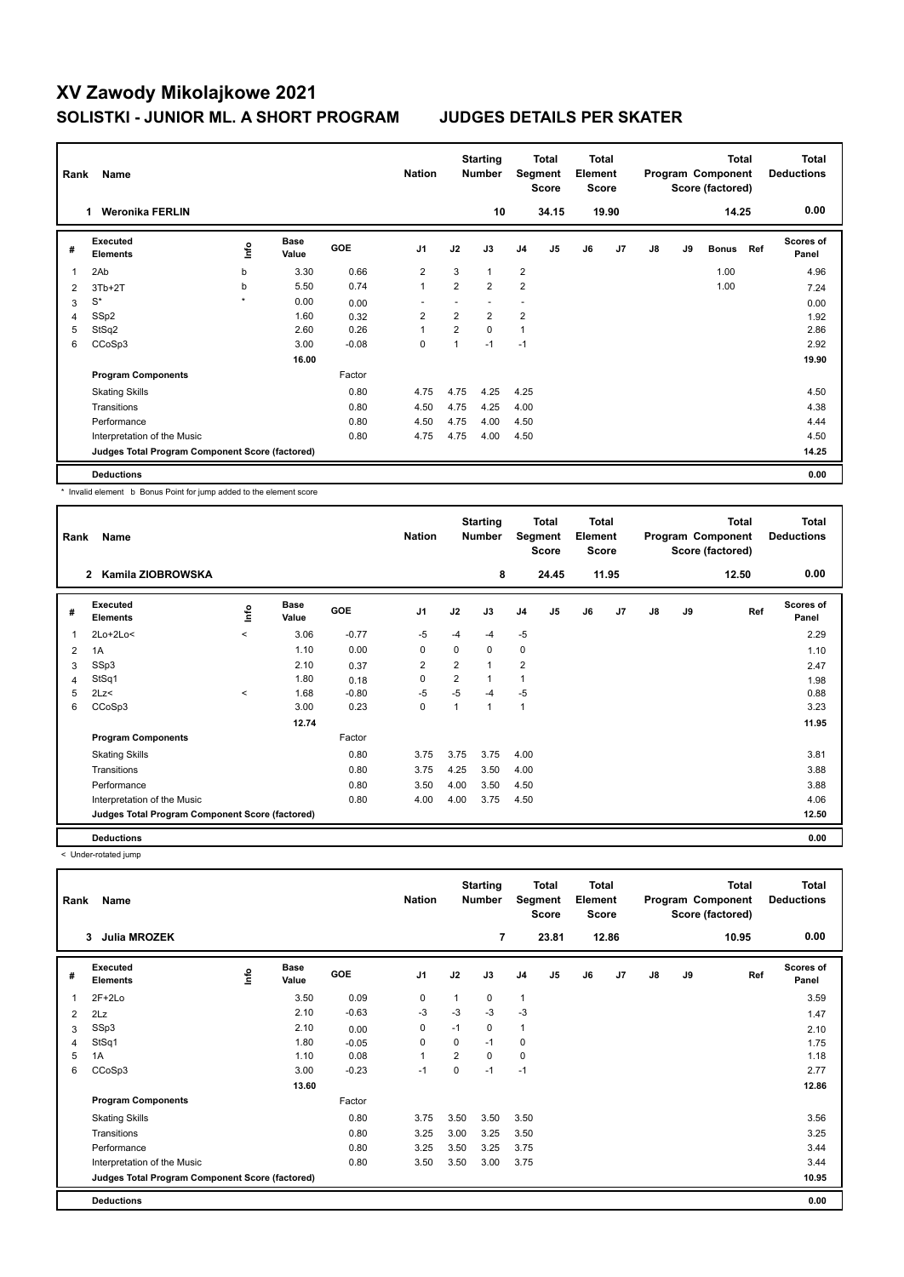# **XV Zawody Mikolajkowe 2021 SOLISTKI - JUNIOR ML. A SHORT PROGRAM JUDGES DETAILS PER SKATER**

| Rank | Name                                            |         |                      |            |                |                | <b>Starting</b><br><b>Number</b> |                | Total<br>Segment<br>Score |    | <b>Total</b><br>Element<br><b>Score</b> |    |    | <b>Total</b><br>Program Component<br>Score (factored) |     | <b>Total</b><br><b>Deductions</b> |
|------|-------------------------------------------------|---------|----------------------|------------|----------------|----------------|----------------------------------|----------------|---------------------------|----|-----------------------------------------|----|----|-------------------------------------------------------|-----|-----------------------------------|
|      | <b>Weronika FERLIN</b><br>1                     |         |                      |            |                |                | 10                               |                | 34.15                     |    | 19.90                                   |    |    | 14.25                                                 |     | 0.00                              |
| #    | Executed<br><b>Elements</b>                     | ١nf٥    | <b>Base</b><br>Value | <b>GOE</b> | J <sub>1</sub> | J2             | J3                               | J <sub>4</sub> | J <sub>5</sub>            | J6 | J7                                      | J8 | J9 | <b>Bonus</b>                                          | Ref | Scores of<br>Panel                |
| 1    | 2Ab                                             | b       | 3.30                 | 0.66       | $\overline{2}$ | 3              | $\mathbf{1}$                     | $\overline{2}$ |                           |    |                                         |    |    | 1.00                                                  |     | 4.96                              |
| 2    | $3Tb+2T$                                        | b       | 5.50                 | 0.74       | $\mathbf{1}$   | $\overline{2}$ | $\overline{2}$                   | $\overline{2}$ |                           |    |                                         |    |    | 1.00                                                  |     | 7.24                              |
| 3    | $\mathbb{S}^*$                                  | $\star$ | 0.00                 | 0.00       |                |                |                                  | ٠              |                           |    |                                         |    |    |                                                       |     | 0.00                              |
| 4    | SSp2                                            |         | 1.60                 | 0.32       | $\overline{2}$ | $\overline{2}$ | $\overline{2}$                   | $\overline{2}$ |                           |    |                                         |    |    |                                                       |     | 1.92                              |
| 5    | StSq2                                           |         | 2.60                 | 0.26       | $\overline{1}$ | $\overline{2}$ | $\mathbf 0$                      | $\mathbf{1}$   |                           |    |                                         |    |    |                                                       |     | 2.86                              |
| 6    | CCoSp3                                          |         | 3.00                 | $-0.08$    | 0              | 1              | $-1$                             | $-1$           |                           |    |                                         |    |    |                                                       |     | 2.92                              |
|      |                                                 |         | 16.00                |            |                |                |                                  |                |                           |    |                                         |    |    |                                                       |     | 19.90                             |
|      | <b>Program Components</b>                       |         |                      | Factor     |                |                |                                  |                |                           |    |                                         |    |    |                                                       |     |                                   |
|      | <b>Skating Skills</b>                           |         |                      | 0.80       | 4.75           | 4.75           | 4.25                             | 4.25           |                           |    |                                         |    |    |                                                       |     | 4.50                              |
|      | Transitions                                     |         |                      | 0.80       | 4.50           | 4.75           | 4.25                             | 4.00           |                           |    |                                         |    |    |                                                       |     | 4.38                              |
|      | Performance                                     |         |                      | 0.80       | 4.50           | 4.75           | 4.00                             | 4.50           |                           |    |                                         |    |    |                                                       |     | 4.44                              |
|      | Interpretation of the Music                     |         |                      | 0.80       | 4.75           | 4.75           | 4.00                             | 4.50           |                           |    |                                         |    |    |                                                       |     | 4.50                              |
|      | Judges Total Program Component Score (factored) |         |                      |            |                |                |                                  |                |                           |    |                                         |    |    |                                                       |     | 14.25                             |
|      | <b>Deductions</b>                               |         |                      |            |                |                |                                  |                |                           |    |                                         |    |    |                                                       |     | 0.00                              |

\* Invalid element b Bonus Point for jump added to the element score

| Rank | Name                                            |         |                      |            | <b>Nation</b>  |                | <b>Starting</b><br><b>Number</b> |                | <b>Total</b><br>Segment<br><b>Score</b> | <b>Total</b><br>Element<br><b>Score</b> |                |    |    | <b>Total</b><br>Program Component<br>Score (factored) | Total<br><b>Deductions</b> |
|------|-------------------------------------------------|---------|----------------------|------------|----------------|----------------|----------------------------------|----------------|-----------------------------------------|-----------------------------------------|----------------|----|----|-------------------------------------------------------|----------------------------|
|      | Kamila ZIOBROWSKA<br>$\mathbf{2}$               |         |                      |            |                |                | 8                                |                | 24.45                                   |                                         | 11.95          |    |    | 12.50                                                 | 0.00                       |
| #    | Executed<br><b>Elements</b>                     | ١nfo    | <b>Base</b><br>Value | <b>GOE</b> | J <sub>1</sub> | J2             | J3                               | J <sub>4</sub> | J5                                      | J6                                      | J <sub>7</sub> | J8 | J9 | Ref                                                   | <b>Scores of</b><br>Panel  |
| 1    | $2Lo+2Lo<$                                      | $\prec$ | 3.06                 | $-0.77$    | $-5$           | -4             | $-4$                             | $-5$           |                                         |                                         |                |    |    |                                                       | 2.29                       |
| 2    | 1A                                              |         | 1.10                 | 0.00       | 0              | 0              | 0                                | 0              |                                         |                                         |                |    |    |                                                       | 1.10                       |
| 3    | SSp3                                            |         | 2.10                 | 0.37       | $\overline{2}$ | $\overline{2}$ | 1                                | $\overline{2}$ |                                         |                                         |                |    |    |                                                       | 2.47                       |
| 4    | StSq1                                           |         | 1.80                 | 0.18       | 0              | $\overline{2}$ | 1                                | 1              |                                         |                                         |                |    |    |                                                       | 1.98                       |
| 5    | 2Lz<                                            | $\prec$ | 1.68                 | $-0.80$    | $-5$           | $-5$           | $-4$                             | $-5$           |                                         |                                         |                |    |    |                                                       | 0.88                       |
| 6    | CCoSp3                                          |         | 3.00                 | 0.23       | $\mathbf 0$    | 1              | $\mathbf{1}$                     | $\overline{1}$ |                                         |                                         |                |    |    |                                                       | 3.23                       |
|      |                                                 |         | 12.74                |            |                |                |                                  |                |                                         |                                         |                |    |    |                                                       | 11.95                      |
|      | <b>Program Components</b>                       |         |                      | Factor     |                |                |                                  |                |                                         |                                         |                |    |    |                                                       |                            |
|      | <b>Skating Skills</b>                           |         |                      | 0.80       | 3.75           | 3.75           | 3.75                             | 4.00           |                                         |                                         |                |    |    |                                                       | 3.81                       |
|      | Transitions                                     |         |                      | 0.80       | 3.75           | 4.25           | 3.50                             | 4.00           |                                         |                                         |                |    |    |                                                       | 3.88                       |
|      | Performance                                     |         |                      | 0.80       | 3.50           | 4.00           | 3.50                             | 4.50           |                                         |                                         |                |    |    |                                                       | 3.88                       |
|      | Interpretation of the Music                     |         |                      | 0.80       | 4.00           | 4.00           | 3.75                             | 4.50           |                                         |                                         |                |    |    |                                                       | 4.06                       |
|      | Judges Total Program Component Score (factored) |         |                      |            |                |                |                                  |                |                                         |                                         |                |    |    |                                                       | 12.50                      |
|      | <b>Deductions</b>                               |         |                      |            |                |                |                                  |                |                                         |                                         |                |    |    |                                                       | 0.00                       |

< Under-rotated jump

| Rank | Name                                            |      |                      |         | <b>Nation</b>  |      | <b>Starting</b><br><b>Number</b> | Segment        | Total<br><b>Score</b> | <b>Total</b><br>Element<br><b>Score</b> |       |               |    | <b>Total</b><br>Program Component<br>Score (factored) | <b>Total</b><br><b>Deductions</b> |
|------|-------------------------------------------------|------|----------------------|---------|----------------|------|----------------------------------|----------------|-----------------------|-----------------------------------------|-------|---------------|----|-------------------------------------------------------|-----------------------------------|
|      | <b>Julia MROZEK</b><br>3                        |      |                      |         |                |      | 7                                |                | 23.81                 |                                         | 12.86 |               |    | 10.95                                                 | 0.00                              |
| #    | Executed<br><b>Elements</b>                     | ١mfo | <b>Base</b><br>Value | GOE     | J <sub>1</sub> | J2   | J3                               | J <sub>4</sub> | J5                    | J6                                      | J7    | $\mathsf{J}8$ | J9 | Ref                                                   | <b>Scores of</b><br>Panel         |
| 1    | $2F+2Lo$                                        |      | 3.50                 | 0.09    | 0              | 1    | $\mathbf 0$                      | $\mathbf{1}$   |                       |                                         |       |               |    |                                                       | 3.59                              |
| 2    | 2Lz                                             |      | 2.10                 | $-0.63$ | $-3$           | $-3$ | $-3$                             | $-3$           |                       |                                         |       |               |    |                                                       | 1.47                              |
| 3    | SSp3                                            |      | 2.10                 | 0.00    | 0              | $-1$ | 0                                | 1              |                       |                                         |       |               |    |                                                       | 2.10                              |
| 4    | StSq1                                           |      | 1.80                 | $-0.05$ | $\mathbf 0$    | 0    | $-1$                             | 0              |                       |                                         |       |               |    |                                                       | 1.75                              |
| 5    | 1A                                              |      | 1.10                 | 0.08    | 1              | 2    | 0                                | $\mathbf 0$    |                       |                                         |       |               |    |                                                       | 1.18                              |
| 6    | CCoSp3                                          |      | 3.00                 | $-0.23$ | $-1$           | 0    | $-1$                             | $-1$           |                       |                                         |       |               |    |                                                       | 2.77                              |
|      |                                                 |      | 13.60                |         |                |      |                                  |                |                       |                                         |       |               |    |                                                       | 12.86                             |
|      | <b>Program Components</b>                       |      |                      | Factor  |                |      |                                  |                |                       |                                         |       |               |    |                                                       |                                   |
|      | <b>Skating Skills</b>                           |      |                      | 0.80    | 3.75           | 3.50 | 3.50                             | 3.50           |                       |                                         |       |               |    |                                                       | 3.56                              |
|      | Transitions                                     |      |                      | 0.80    | 3.25           | 3.00 | 3.25                             | 3.50           |                       |                                         |       |               |    |                                                       | 3.25                              |
|      | Performance                                     |      |                      | 0.80    | 3.25           | 3.50 | 3.25                             | 3.75           |                       |                                         |       |               |    |                                                       | 3.44                              |
|      | Interpretation of the Music                     |      |                      | 0.80    | 3.50           | 3.50 | 3.00                             | 3.75           |                       |                                         |       |               |    |                                                       | 3.44                              |
|      | Judges Total Program Component Score (factored) |      |                      |         |                |      |                                  |                |                       |                                         |       |               |    |                                                       | 10.95                             |
|      | <b>Deductions</b>                               |      |                      |         |                |      |                                  |                |                       |                                         |       |               |    |                                                       | 0.00                              |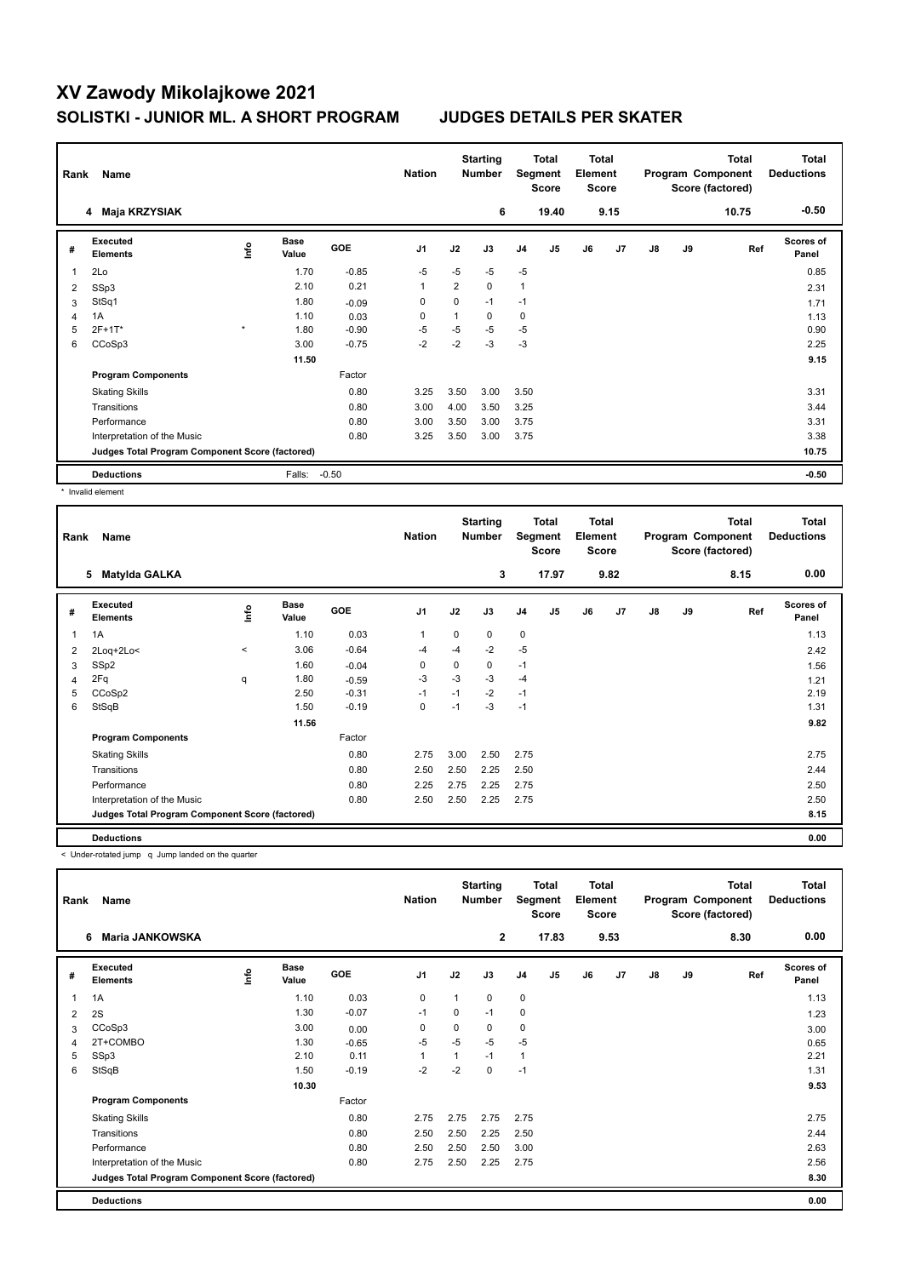# **XV Zawody Mikolajkowe 2021 SOLISTKI - JUNIOR ML. A SHORT PROGRAM JUDGES DETAILS PER SKATER**

|                | Rank<br>Name                                    |         |                      |         | <b>Nation</b>  |      | <b>Starting</b><br><b>Number</b> |                | <b>Total</b><br>Segment<br><b>Score</b> |    | <b>Total</b><br>Element<br><b>Score</b> |               |    | <b>Total</b><br>Program Component<br>Score (factored) | <b>Total</b><br><b>Deductions</b> |
|----------------|-------------------------------------------------|---------|----------------------|---------|----------------|------|----------------------------------|----------------|-----------------------------------------|----|-----------------------------------------|---------------|----|-------------------------------------------------------|-----------------------------------|
|                | Maja KRZYSIAK<br>4                              |         |                      |         |                |      | 6                                |                | 19.40                                   |    | 9.15                                    |               |    | 10.75                                                 | $-0.50$                           |
| #              | Executed<br><b>Elements</b>                     | ١nto    | <b>Base</b><br>Value | GOE     | J <sub>1</sub> | J2   | J3                               | J <sub>4</sub> | J <sub>5</sub>                          | J6 | J7                                      | $\mathsf{J}8$ | J9 | Ref                                                   | <b>Scores of</b><br>Panel         |
|                | 2Lo                                             |         | 1.70                 | $-0.85$ | $-5$           | $-5$ | $-5$                             | $-5$           |                                         |    |                                         |               |    |                                                       | 0.85                              |
| $\overline{2}$ | SSp3                                            |         | 2.10                 | 0.21    | 1              | 2    | $\mathbf 0$                      | $\mathbf{1}$   |                                         |    |                                         |               |    |                                                       | 2.31                              |
| 3              | StSq1                                           |         | 1.80                 | $-0.09$ | 0              | 0    | $-1$                             | $-1$           |                                         |    |                                         |               |    |                                                       | 1.71                              |
|                | 1A                                              |         | 1.10                 | 0.03    | 0              | 1    | 0                                | $\mathbf 0$    |                                         |    |                                         |               |    |                                                       | 1.13                              |
| 5              | 2F+1T*                                          | $\star$ | 1.80                 | $-0.90$ | $-5$           | $-5$ | $-5$                             | $-5$           |                                         |    |                                         |               |    |                                                       | 0.90                              |
| 6              | CCoSp3                                          |         | 3.00                 | $-0.75$ | $-2$           | $-2$ | $-3$                             | $-3$           |                                         |    |                                         |               |    |                                                       | 2.25                              |
|                |                                                 |         | 11.50                |         |                |      |                                  |                |                                         |    |                                         |               |    |                                                       | 9.15                              |
|                | <b>Program Components</b>                       |         |                      | Factor  |                |      |                                  |                |                                         |    |                                         |               |    |                                                       |                                   |
|                | <b>Skating Skills</b>                           |         |                      | 0.80    | 3.25           | 3.50 | 3.00                             | 3.50           |                                         |    |                                         |               |    |                                                       | 3.31                              |
|                | Transitions                                     |         |                      | 0.80    | 3.00           | 4.00 | 3.50                             | 3.25           |                                         |    |                                         |               |    |                                                       | 3.44                              |
|                | Performance                                     |         |                      | 0.80    | 3.00           | 3.50 | 3.00                             | 3.75           |                                         |    |                                         |               |    |                                                       | 3.31                              |
|                | Interpretation of the Music                     |         |                      | 0.80    | 3.25           | 3.50 | 3.00                             | 3.75           |                                         |    |                                         |               |    |                                                       | 3.38                              |
|                | Judges Total Program Component Score (factored) |         |                      |         |                |      |                                  |                |                                         |    |                                         |               |    |                                                       | 10.75                             |
|                | <b>Deductions</b>                               |         | Falls:               | $-0.50$ |                |      |                                  |                |                                         |    |                                         |               |    |                                                       | $-0.50$                           |

\* Invalid element

| Rank | Name                                            |       |                      | <b>Nation</b> | <b>Starting</b><br><b>Number</b> |      | <b>Total</b><br>Segment<br><b>Score</b> |                | <b>Total</b><br>Element<br><b>Score</b> |    | <b>Total</b><br>Program Component<br>Score (factored) |    |    | <b>Total</b><br><b>Deductions</b> |                           |
|------|-------------------------------------------------|-------|----------------------|---------------|----------------------------------|------|-----------------------------------------|----------------|-----------------------------------------|----|-------------------------------------------------------|----|----|-----------------------------------|---------------------------|
|      | <b>Matylda GALKA</b><br>5                       |       |                      |               |                                  |      | 3                                       |                | 17.97                                   |    | 9.82                                                  |    |    | 8.15                              | 0.00                      |
| #    | Executed<br><b>Elements</b>                     | ۴ů    | <b>Base</b><br>Value | <b>GOE</b>    | J <sub>1</sub>                   | J2   | J3                                      | J <sub>4</sub> | J <sub>5</sub>                          | J6 | J7                                                    | J8 | J9 | Ref                               | <b>Scores of</b><br>Panel |
| 1    | 1A                                              |       | 1.10                 | 0.03          | 1                                | 0    | 0                                       | $\mathbf 0$    |                                         |    |                                                       |    |    |                                   | 1.13                      |
| 2    | 2Loq+2Lo<                                       | $\,<$ | 3.06                 | $-0.64$       | $-4$                             | $-4$ | $-2$                                    | $-5$           |                                         |    |                                                       |    |    |                                   | 2.42                      |
| 3    | SSp2                                            |       | 1.60                 | $-0.04$       | 0                                | 0    | 0                                       | $-1$           |                                         |    |                                                       |    |    |                                   | 1.56                      |
| 4    | 2Fq                                             | q     | 1.80                 | $-0.59$       | $-3$                             | $-3$ | $-3$                                    | $-4$           |                                         |    |                                                       |    |    |                                   | 1.21                      |
| 5    | CCoSp2                                          |       | 2.50                 | $-0.31$       | $-1$                             | $-1$ | $-2$                                    | $-1$           |                                         |    |                                                       |    |    |                                   | 2.19                      |
| 6    | StSqB                                           |       | 1.50                 | $-0.19$       | $\mathbf 0$                      | $-1$ | $-3$                                    | $-1$           |                                         |    |                                                       |    |    |                                   | 1.31                      |
|      |                                                 |       | 11.56                |               |                                  |      |                                         |                |                                         |    |                                                       |    |    |                                   | 9.82                      |
|      | <b>Program Components</b>                       |       |                      | Factor        |                                  |      |                                         |                |                                         |    |                                                       |    |    |                                   |                           |
|      | <b>Skating Skills</b>                           |       |                      | 0.80          | 2.75                             | 3.00 | 2.50                                    | 2.75           |                                         |    |                                                       |    |    |                                   | 2.75                      |
|      | Transitions                                     |       |                      | 0.80          | 2.50                             | 2.50 | 2.25                                    | 2.50           |                                         |    |                                                       |    |    |                                   | 2.44                      |
|      | Performance                                     |       |                      | 0.80          | 2.25                             | 2.75 | 2.25                                    | 2.75           |                                         |    |                                                       |    |    |                                   | 2.50                      |
|      | Interpretation of the Music                     |       |                      | 0.80          | 2.50                             | 2.50 | 2.25                                    | 2.75           |                                         |    |                                                       |    |    |                                   | 2.50                      |
|      | Judges Total Program Component Score (factored) |       |                      |               |                                  |      |                                         |                |                                         |    |                                                       |    |    |                                   | 8.15                      |
|      | <b>Deductions</b>                               |       |                      |               |                                  |      |                                         |                |                                         |    |                                                       |    |    |                                   | 0.00                      |

< Under-rotated jump q Jump landed on the quarter

| Rank | Name                                            |    |                      |            | <b>Nation</b>  |      | <b>Starting</b><br><b>Number</b> |                | Total<br>Segment<br><b>Score</b> |    | <b>Total</b><br>Element<br><b>Score</b> |               |    | <b>Total</b><br>Program Component<br>Score (factored) | <b>Total</b><br><b>Deductions</b> |  |
|------|-------------------------------------------------|----|----------------------|------------|----------------|------|----------------------------------|----------------|----------------------------------|----|-----------------------------------------|---------------|----|-------------------------------------------------------|-----------------------------------|--|
|      | 6<br><b>Maria JANKOWSKA</b>                     |    |                      |            |                |      | $\mathbf{2}$                     |                | 17.83                            |    | 9.53                                    |               |    | 8.30                                                  | 0.00                              |  |
| #    | <b>Executed</b><br><b>Elements</b>              | ۴ů | <b>Base</b><br>Value | <b>GOE</b> | J <sub>1</sub> | J2   | J3                               | J <sub>4</sub> | J5                               | J6 | J7                                      | $\mathsf{J}8$ | J9 | Ref                                                   | Scores of<br>Panel                |  |
| 1    | 1A                                              |    | 1.10                 | 0.03       | 0              | 1    | 0                                | 0              |                                  |    |                                         |               |    |                                                       | 1.13                              |  |
| 2    | 2S                                              |    | 1.30                 | $-0.07$    | $-1$           | 0    | $-1$                             | 0              |                                  |    |                                         |               |    |                                                       | 1.23                              |  |
| 3    | CCoSp3                                          |    | 3.00                 | 0.00       | 0              | 0    | 0                                | 0              |                                  |    |                                         |               |    |                                                       | 3.00                              |  |
| 4    | 2T+COMBO                                        |    | 1.30                 | $-0.65$    | $-5$           | $-5$ | $-5$                             | -5             |                                  |    |                                         |               |    |                                                       | 0.65                              |  |
| 5    | SSp3                                            |    | 2.10                 | 0.11       | 1              | 1    | $-1$                             | $\mathbf{1}$   |                                  |    |                                         |               |    |                                                       | 2.21                              |  |
| 6    | StSqB                                           |    | 1.50                 | $-0.19$    | $-2$           | $-2$ | 0                                | $-1$           |                                  |    |                                         |               |    |                                                       | 1.31                              |  |
|      |                                                 |    | 10.30                |            |                |      |                                  |                |                                  |    |                                         |               |    |                                                       | 9.53                              |  |
|      | <b>Program Components</b>                       |    |                      | Factor     |                |      |                                  |                |                                  |    |                                         |               |    |                                                       |                                   |  |
|      | <b>Skating Skills</b>                           |    |                      | 0.80       | 2.75           | 2.75 | 2.75                             | 2.75           |                                  |    |                                         |               |    |                                                       | 2.75                              |  |
|      | Transitions                                     |    |                      | 0.80       | 2.50           | 2.50 | 2.25                             | 2.50           |                                  |    |                                         |               |    |                                                       | 2.44                              |  |
|      | Performance                                     |    |                      | 0.80       | 2.50           | 2.50 | 2.50                             | 3.00           |                                  |    |                                         |               |    |                                                       | 2.63                              |  |
|      | Interpretation of the Music                     |    |                      | 0.80       | 2.75           | 2.50 | 2.25                             | 2.75           |                                  |    |                                         |               |    |                                                       | 2.56                              |  |
|      | Judges Total Program Component Score (factored) |    |                      |            |                |      |                                  |                |                                  |    |                                         |               |    |                                                       | 8.30                              |  |
|      | <b>Deductions</b>                               |    |                      |            |                |      |                                  |                |                                  |    |                                         |               |    |                                                       | 0.00                              |  |